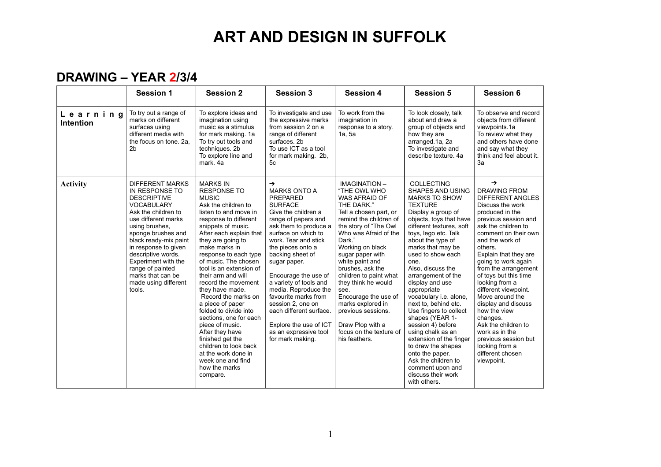#### **DRAWING – YEAR 2/3/4**

|                              | <b>Session 1</b>                                                                                                                                                                                                                                                                                                                                   | <b>Session 2</b>                                                                                                                                                                                                                                                                                                                                                                                                                                                                                                                                                                                                            | <b>Session 3</b>                                                                                                                                                                                                                                                                                                                                                                                                                                                                  | <b>Session 4</b>                                                                                                                                                                                                                                                                                                                                                                                                                                               | <b>Session 5</b>                                                                                                                                                                                                                                                                                                                                                                                                                                                                                                                                                                                                                | <b>Session 6</b>                                                                                                                                                                                                                                                                                                                                                                                                                                                                                                                      |
|------------------------------|----------------------------------------------------------------------------------------------------------------------------------------------------------------------------------------------------------------------------------------------------------------------------------------------------------------------------------------------------|-----------------------------------------------------------------------------------------------------------------------------------------------------------------------------------------------------------------------------------------------------------------------------------------------------------------------------------------------------------------------------------------------------------------------------------------------------------------------------------------------------------------------------------------------------------------------------------------------------------------------------|-----------------------------------------------------------------------------------------------------------------------------------------------------------------------------------------------------------------------------------------------------------------------------------------------------------------------------------------------------------------------------------------------------------------------------------------------------------------------------------|----------------------------------------------------------------------------------------------------------------------------------------------------------------------------------------------------------------------------------------------------------------------------------------------------------------------------------------------------------------------------------------------------------------------------------------------------------------|---------------------------------------------------------------------------------------------------------------------------------------------------------------------------------------------------------------------------------------------------------------------------------------------------------------------------------------------------------------------------------------------------------------------------------------------------------------------------------------------------------------------------------------------------------------------------------------------------------------------------------|---------------------------------------------------------------------------------------------------------------------------------------------------------------------------------------------------------------------------------------------------------------------------------------------------------------------------------------------------------------------------------------------------------------------------------------------------------------------------------------------------------------------------------------|
| Learning<br><b>Intention</b> | To try out a range of<br>marks on different<br>surfaces using<br>different media with<br>the focus on tone, 2a.<br>2 <sub>b</sub>                                                                                                                                                                                                                  | To explore ideas and<br>imagination using<br>music as a stimulus<br>for mark making. 1a<br>To try out tools and<br>techniques. 2b<br>To explore line and<br>mark, 4a                                                                                                                                                                                                                                                                                                                                                                                                                                                        | To investigate and use<br>the expressive marks<br>from session 2 on a<br>range of different<br>surfaces. 2b<br>To use ICT as a tool<br>for mark making. 2b,<br>5с                                                                                                                                                                                                                                                                                                                 | To work from the<br>imagination in<br>response to a story.<br>1a, 5a                                                                                                                                                                                                                                                                                                                                                                                           | To look closely, talk<br>about and draw a<br>group of objects and<br>how they are<br>arranged.1a, 2a<br>To investigate and<br>describe texture, 4a                                                                                                                                                                                                                                                                                                                                                                                                                                                                              | To observe and record<br>objects from different<br>viewpoints.1a<br>To review what they<br>and others have done<br>and say what they<br>think and feel about it.<br>3a                                                                                                                                                                                                                                                                                                                                                                |
| <b>Activity</b>              | <b>DIFFERENT MARKS</b><br>IN RESPONSE TO<br><b>DESCRIPTIVE</b><br><b>VOCABULARY</b><br>Ask the children to<br>use different marks<br>using brushes.<br>sponge brushes and<br>black ready-mix paint<br>in response to given<br>descriptive words.<br>Experiment with the<br>range of painted<br>marks that can be<br>made using different<br>tools. | <b>MARKS IN</b><br><b>RESPONSE TO</b><br><b>MUSIC</b><br>Ask the children to<br>listen to and move in<br>response to different<br>snippets of music.<br>After each explain that<br>they are going to<br>make marks in<br>response to each type<br>of music. The chosen<br>tool is an extension of<br>their arm and will<br>record the movement<br>they have made.<br>Record the marks on<br>a piece of paper<br>folded to divide into<br>sections, one for each<br>piece of music.<br>After they have<br>finished get the<br>children to look back<br>at the work done in<br>week one and find<br>how the marks<br>compare. | $\rightarrow$<br><b>MARKS ONTO A</b><br><b>PREPARED</b><br><b>SURFACE</b><br>Give the children a<br>range of papers and<br>ask them to produce a<br>surface on which to<br>work. Tear and stick<br>the pieces onto a<br>backing sheet of<br>sugar paper.<br>Encourage the use of<br>a variety of tools and<br>media. Reproduce the<br>favourite marks from<br>session 2, one on<br>each different surface.<br>Explore the use of ICT<br>as an expressive tool<br>for mark making. | <b>IMAGINATION -</b><br>"THE OWL WHO<br>WAS AFRAID OF<br>THE DARK."<br>Tell a chosen part, or<br>remind the children of<br>the story of "The Owl<br>Who was Afraid of the<br>Dark."<br>Working on black<br>sugar paper with<br>white paint and<br>brushes, ask the<br>children to paint what<br>they think he would<br>see.<br>Encourage the use of<br>marks explored in<br>previous sessions.<br>Draw Plop with a<br>focus on the texture of<br>his feathers. | COLLECTING<br>SHAPES AND USING<br><b>MARKS TO SHOW</b><br><b>TEXTURE</b><br>Display a group of<br>objects, toys that have<br>different textures, soft<br>toys, lego etc. Talk<br>about the type of<br>marks that may be<br>used to show each<br>one.<br>Also, discuss the<br>arrangement of the<br>display and use<br>appropriate<br>vocabulary i.e. alone.<br>next to, behind etc.<br>Use fingers to collect<br>shapes (YEAR 1-<br>session 4) before<br>using chalk as an<br>extension of the finger<br>to draw the shapes<br>onto the paper.<br>Ask the children to<br>comment upon and<br>discuss their work<br>with others. | →<br><b>DRAWING FROM</b><br><b>DIFFERENT ANGLES</b><br>Discuss the work<br>produced in the<br>previous session and<br>ask the children to<br>comment on their own<br>and the work of<br>others.<br>Explain that they are<br>going to work again<br>from the arrangement<br>of toys but this time<br>looking from a<br>different viewpoint.<br>Move around the<br>display and discuss<br>how the view<br>changes.<br>Ask the children to<br>work as in the<br>previous session but<br>looking from a<br>different chosen<br>viewpoint. |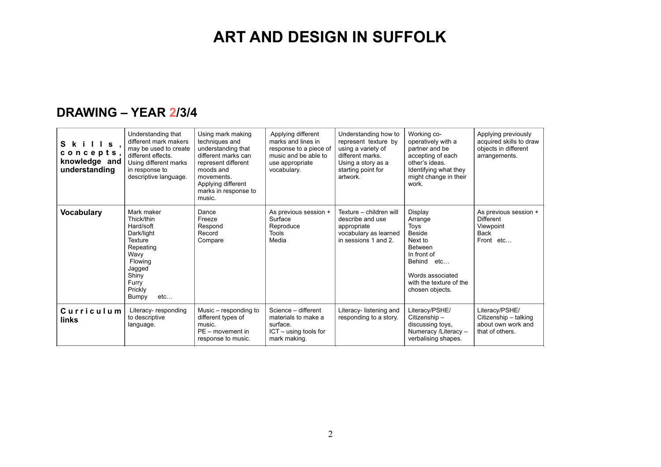#### **DRAWING – YEAR 2/3/4**

| $S$ kills,<br>concepts,<br>knowledge and<br>understanding | Understanding that<br>different mark makers<br>may be used to create<br>different effects.<br>Using different marks<br>in response to<br>descriptive language. | Using mark making<br>techniques and<br>understanding that<br>different marks can<br>represent different<br>moods and<br>movements.<br>Applying different<br>marks in response to<br>music. | Applying different<br>marks and lines in<br>response to a piece of<br>music and be able to<br>use appropriate<br>vocabulary. | Understanding how to<br>represent texture by<br>using a variety of<br>different marks.<br>Using a story as a<br>starting point for<br>artwork. | Working co-<br>operatively with a<br>partner and be<br>accepting of each<br>other's ideas.<br>Identifying what they<br>might change in their<br>work.            | Applying previously<br>acquired skills to draw<br>objects in different<br>arrangements. |
|-----------------------------------------------------------|----------------------------------------------------------------------------------------------------------------------------------------------------------------|--------------------------------------------------------------------------------------------------------------------------------------------------------------------------------------------|------------------------------------------------------------------------------------------------------------------------------|------------------------------------------------------------------------------------------------------------------------------------------------|------------------------------------------------------------------------------------------------------------------------------------------------------------------|-----------------------------------------------------------------------------------------|
| <b>Vocabulary</b>                                         | Mark maker<br>Thick/thin<br>Hard/soft<br>Dark/light<br>Texture<br>Repeating<br>Wavy<br>Flowing<br>Jagged<br>Shiny<br>Furry<br>Prickly<br>Bumpy<br>etc          | Dance<br>Freeze<br>Respond<br>Record<br>Compare                                                                                                                                            | As previous session +<br>Surface<br>Reproduce<br>Tools<br>Media                                                              | Texture - children will<br>describe and use<br>appropriate<br>vocabulary as learned<br>in sessions 1 and 2.                                    | Display<br>Arrange<br>Toys<br>Beside<br>Next to<br><b>Between</b><br>In front of<br>Behind etc<br>Words associated<br>with the texture of the<br>chosen objects. | As previous session +<br><b>Different</b><br>Viewpoint<br><b>Back</b><br>Front etc      |
| Curriculum<br>links                                       | Literacy-responding<br>to descriptive<br>language.                                                                                                             | Music – responding to<br>different types of<br>music.<br>$PE$ – movement in<br>response to music.                                                                                          | Science - different<br>materials to make a<br>surface.<br>ICT - using tools for<br>mark making.                              | Literacy-listening and<br>responding to a story.                                                                                               | Literacy/PSHE/<br>Citizenship-<br>discussing toys,<br>Numeracy /Literacy -<br>verbalising shapes.                                                                | Literacy/PSHE/<br>Citizenship - talking<br>about own work and<br>that of others.        |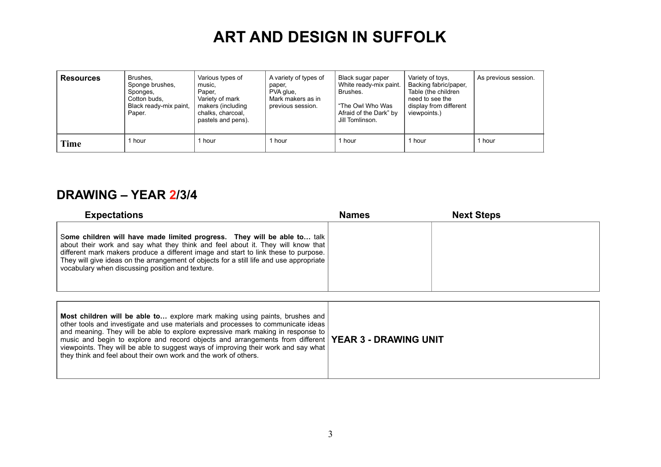| <b>Resources</b> | Brushes,<br>Sponge brushes,<br>Sponges,<br>Cotton buds.<br>Black ready-mix paint,<br>Paper. | Various types of<br>music.<br>Paper.<br>Variety of mark<br>makers (including<br>chalks, charcoal,<br>pastels and pens). | A variety of types of<br>paper,<br>PVA glue,<br>Mark makers as in<br>previous session. | Black sugar paper<br>White ready-mix paint.<br>Brushes.<br>"The Owl Who Was<br>Afraid of the Dark" by<br>Jill Tomlinson. | Variety of toys.<br>Backing fabric/paper,<br>Table (the children<br>need to see the<br>display from different<br>viewpoints.) | As previous session. |
|------------------|---------------------------------------------------------------------------------------------|-------------------------------------------------------------------------------------------------------------------------|----------------------------------------------------------------------------------------|--------------------------------------------------------------------------------------------------------------------------|-------------------------------------------------------------------------------------------------------------------------------|----------------------|
| Time             | l hour                                                                                      | hour                                                                                                                    | hour                                                                                   | 1 hour                                                                                                                   | hour                                                                                                                          | 1 hour               |

#### **DRAWING – YEAR 2/3/4**

they think and feel about their own work and the work of others.

| <b>Expectations</b>                                                                                                                                                                                                                                                                                                                                                                                                                               | <b>Names</b> | <b>Next Steps</b> |
|---------------------------------------------------------------------------------------------------------------------------------------------------------------------------------------------------------------------------------------------------------------------------------------------------------------------------------------------------------------------------------------------------------------------------------------------------|--------------|-------------------|
| Some children will have made limited progress. They will be able to talk<br>about their work and say what they think and feel about it. They will know that<br>different mark makers produce a different image and start to link these to purpose.<br>They will give ideas on the arrangement of objects for a still life and use appropriate<br>vocabulary when discussing position and texture.                                                 |              |                   |
| Most children will be able to explore mark making using paints, brushes and<br>other tools and investigate and use materials and processes to communicate ideas<br>and meaning. They will be able to explore expressive mark making in response to<br>music and begin to explore and record objects and arrangements from different   YEAR 3 - DRAWING UNIT<br>viewpoints. They will be able to suggest ways of improving their work and say what |              |                   |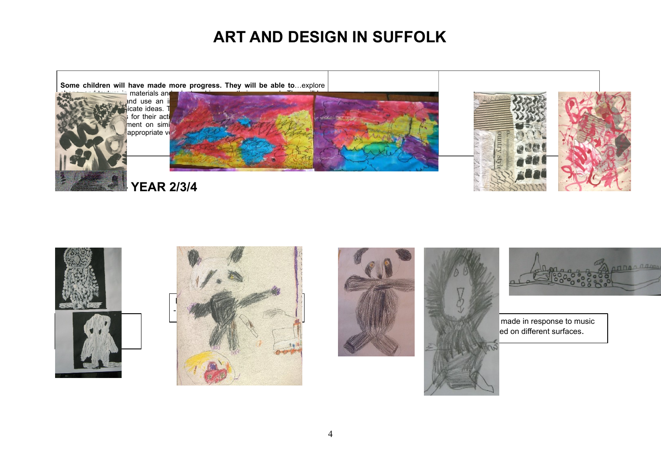**Some children will have made more progress. They will be able to**…explore



shape, and texture in materials and adapt and adapt and adapt and improve their own work. They will be a able to investigate and use an increasing range of materials and processes to materials and processes to  $\mathbb{R}^n$ explore and controlled and controlled and controlled arrangements for a still explore the state ideas. The sta for their act ment on simi appropriate vo













 $00000000$ 

**Marks** made in response to music ed on different surfaces.